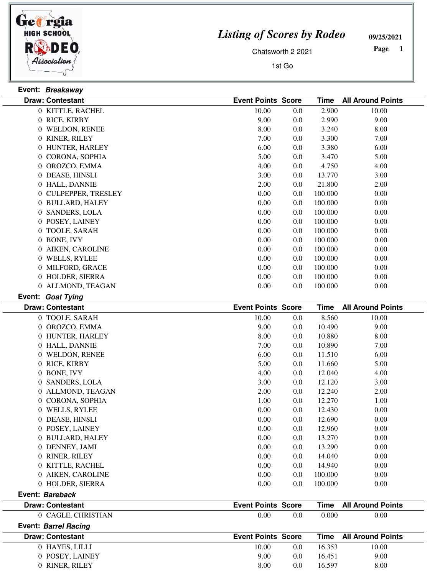

**Event: Bareback**

 $\overline{\phantom{0}}$ 

## *Listing of Scores by Rodeo*

**09/25/2021**

Chatsworth 2 2021

1st Go

 **Page** 

 $\overline{\phantom{a}}$ 

| Event: Breakaway        |                           |                   |                          |
|-------------------------|---------------------------|-------------------|--------------------------|
| <b>Draw: Contestant</b> | <b>Event Points Score</b> | <b>Time</b>       | <b>All Around Points</b> |
| 0 KITTLE, RACHEL        | 10.00                     | 2.900<br>0.0      | 10.00                    |
| 0 RICE, KIRBY           | 9.00                      | 2.990<br>0.0      | 9.00                     |
| 0 WELDON, RENEE         | 8.00                      | 3.240<br>0.0      | 8.00                     |
| 0 RINER, RILEY          | 7.00                      | 3.300<br>0.0      | 7.00                     |
| 0 HUNTER, HARLEY        | 6.00                      | 3.380<br>0.0      | 6.00                     |
| 0 CORONA, SOPHIA        | 5.00                      | 3.470<br>0.0      | 5.00                     |
| 0 OROZCO, EMMA          | 4.00                      | 4.750<br>0.0      | 4.00                     |
| 0 DEASE, HINSLI         | 3.00                      | 0.0<br>13.770     | 3.00                     |
| 0 HALL, DANNIE          | 2.00                      | 0.0<br>21.800     | 2.00                     |
| 0 CULPEPPER, TRESLEY    | 0.00                      | 0.0<br>100.000    | 0.00                     |
| 0 BULLARD, HALEY        | 0.00                      | 0.0<br>100.000    | 0.00                     |
| 0 SANDERS, LOLA         | 0.00                      | 0.0<br>100.000    | 0.00                     |
| 0 POSEY, LAINEY         | 0.00                      | 0.0<br>100.000    | 0.00                     |
| 0 TOOLE, SARAH          | 0.00                      | 0.0<br>100.000    | 0.00                     |
| 0 BONE, IVY             | 0.00                      | 0.0<br>100.000    | 0.00                     |
| 0 AIKEN, CAROLINE       | 0.00                      | 0.0<br>100.000    | 0.00                     |
| 0 WELLS, RYLEE          | 0.00                      | 0.0<br>100.000    | 0.00                     |
| 0 MILFORD, GRACE        | 0.00                      | 0.0<br>100.000    | 0.00                     |
| 0 HOLDER, SIERRA        | 0.00                      | 0.0<br>100.000    | 0.00                     |
| 0 ALLMOND, TEAGAN       | 0.00                      | 0.0<br>100.000    | 0.00                     |
| Event: Goat Tying       |                           |                   |                          |
| <b>Draw: Contestant</b> | <b>Event Points Score</b> | <b>Time</b>       | <b>All Around Points</b> |
| 0 TOOLE, SARAH          | 10.00                     | 8.560<br>$0.0\,$  | 10.00                    |
| 0 OROZCO, EMMA          | 9.00                      | $0.0\,$<br>10.490 | 9.00                     |
| 0 HUNTER, HARLEY        | 8.00                      | 0.0<br>10.880     | 8.00                     |
| 0 HALL, DANNIE          | 7.00                      | 0.0<br>10.890     | 7.00                     |
| 0 WELDON, RENEE         | 6.00                      | 0.0<br>11.510     | 6.00                     |
| 0 RICE, KIRBY           | 5.00                      | 0.0<br>11.660     | 5.00                     |
| 0 BONE, IVY             | 4.00                      | 0.0<br>12.040     | 4.00                     |
| 0 SANDERS, LOLA         | 3.00                      | 0.0<br>12.120     | 3.00                     |
| 0 ALLMOND, TEAGAN       | 2.00                      | 0.0<br>12.240     | 2.00                     |
| 0 CORONA, SOPHIA        | 1.00                      | 12.270<br>0.0     | 1.00                     |
| 0 WELLS, RYLEE          | 0.00                      | 0.0<br>12.430     | 0.00                     |
| 0 DEASE, HINSLI         | 0.00                      | 0.0<br>12.690     | 0.00                     |
| 0 POSEY, LAINEY         | 0.00                      | 0.0<br>12.960     | 0.00                     |

| 0 CAGLE, CHRISTIAN      | 0.00<br>0.0               | 0.000  | 0.00                          |
|-------------------------|---------------------------|--------|-------------------------------|
| Event: Barrel Racing    |                           |        |                               |
| <b>Draw: Contestant</b> | <b>Event Points Score</b> |        | <b>Time</b> All Around Points |
| 0 HAYES, LILLI          | 10.00<br>0.0              | 16.353 | 10.00                         |
| 0 POSEY, LAINEY         | 9.00<br>0.0               | 16.451 | 9.00                          |
| 0 RINER, RILEY          | 8.00<br>0.0               | 16.597 | 8.00                          |
|                         |                           |        |                               |

**Draw: Contestant Event Points Score Time All Around Points**

 BULLARD, HALEY 0.00 0.00 0.0 13.270 0 DENNEY, JAMI 0.00 0.00 0.00 0.00 0.00 0.00 RINER, RILEY 0.00 0.00 0.0 14.040 0 KITTLE, RACHEL 0.00 0.00 0.00 14.940 0.00 AIKEN, CAROLINE 0.00 0.00 0.0 100.000 0 HOLDER, SIERRA 0.00 0.00 0.00 0.00 0.00 0.00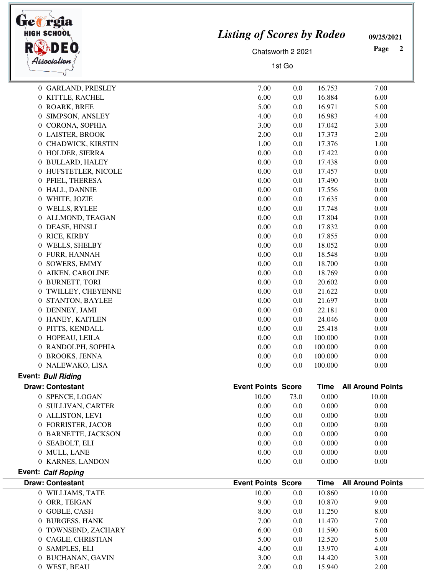| HIGH SCHOOL                           | <b>Listing of Scores by Rodeo</b> |                   |                | 09/25/2021               |  |
|---------------------------------------|-----------------------------------|-------------------|----------------|--------------------------|--|
|                                       |                                   | Chatsworth 2 2021 |                | Page<br>$\mathbf{2}$     |  |
| Association                           |                                   | 1st Go            |                |                          |  |
| 0 GARLAND, PRESLEY                    | 7.00                              | 0.0               | 16.753         | 7.00                     |  |
| 0 KITTLE, RACHEL                      | 6.00                              | 0.0               | 16.884         | 6.00                     |  |
| 0 ROARK, BREE                         | 5.00                              | 0.0               | 16.971         | 5.00                     |  |
| 0 SIMPSON, ANSLEY                     | 4.00                              | 0.0               | 16.983         | 4.00                     |  |
| 0 CORONA, SOPHIA                      | 3.00                              | 0.0               | 17.042         | 3.00                     |  |
| 0 LAISTER, BROOK                      | 2.00                              | 0.0               | 17.373         | 2.00                     |  |
| 0 CHADWICK, KIRSTIN                   | 1.00                              | 0.0               | 17.376         | 1.00                     |  |
| 0 HOLDER, SIERRA                      | 0.00                              | 0.0               | 17.422         | 0.00                     |  |
| 0 BULLARD, HALEY                      | 0.00                              | 0.0               | 17.438         | 0.00                     |  |
| 0 HUFSTETLER, NICOLE                  | 0.00                              | 0.0               | 17.457         | 0.00                     |  |
| 0 PFIEL, THERESA                      | 0.00                              | 0.0               | 17.490         | 0.00                     |  |
| 0 HALL, DANNIE                        | 0.00                              | 0.0               | 17.556         | 0.00                     |  |
| 0 WHITE, JOZIE                        | 0.00                              | 0.0               | 17.635         | 0.00                     |  |
| 0 WELLS, RYLEE                        | 0.00                              | 0.0               | 17.748         | 0.00                     |  |
| 0 ALLMOND, TEAGAN                     | 0.00                              | 0.0               | 17.804         | 0.00                     |  |
| 0 DEASE, HINSLI                       | 0.00                              | 0.0               | 17.832         | 0.00                     |  |
| 0 RICE, KIRBY                         | 0.00                              | 0.0               | 17.855         | 0.00                     |  |
| 0 WELLS, SHELBY                       | 0.00                              | 0.0               | 18.052         | 0.00                     |  |
| 0 FURR, HANNAH                        | 0.00                              | 0.0               | 18.548         | 0.00                     |  |
| 0 SOWERS, EMMY                        | 0.00                              | 0.0               | 18.700         | 0.00                     |  |
| 0 AIKEN, CAROLINE                     | 0.00                              | 0.0               | 18.769         | 0.00                     |  |
| 0 BURNETT, TORI                       | 0.00                              | 0.0               | 20.602         | 0.00                     |  |
| 0 TWILLEY, CHEYENNE                   | 0.00                              | 0.0               | 21.622         | 0.00                     |  |
| 0 STANTON, BAYLEE                     | 0.00                              | 0.0               | 21.697         | 0.00                     |  |
| 0 DENNEY, JAMI                        | 0.00                              | 0.0               | 22.181         | 0.00                     |  |
| 0 HANEY, KAITLEN                      | 0.00                              | 0.0               | 24.046         | 0.00                     |  |
| 0 PITTS, KENDALL                      | 0.00                              | 0.0               | 25.418         | 0.00                     |  |
| 0 HOPEAU, LEILA                       | 0.00                              | 0.0               | 100.000        | 0.00                     |  |
| 0 RANDOLPH, SOPHIA                    | 0.00                              | 0.0               | 100.000        | 0.00                     |  |
| 0 BROOKS, JENNA                       | 0.00                              | 0.0               | 100.000        | 0.00                     |  |
| 0 NALEWAKO, LISA                      | 0.00                              | 0.0               | 100.000        | 0.00                     |  |
| <b>Event: Bull Riding</b>             |                                   |                   |                |                          |  |
| <b>Draw: Contestant</b>               | <b>Event Points Score</b>         |                   | <b>Time</b>    | <b>All Around Points</b> |  |
| 0 SPENCE, LOGAN                       | 10.00                             | 73.0              | 0.000          | 10.00                    |  |
| 0 SULLIVAN, CARTER                    | 0.00                              | 0.0               | 0.000          | 0.00                     |  |
| 0 ALLISTON, LEVI                      | 0.00                              | 0.0               | 0.000          | 0.00                     |  |
| 0 FORRISTER, JACOB                    | 0.00                              | 0.0               | 0.000          | 0.00                     |  |
| 0 BARNETTE, JACKSON<br>0 SEABOLT, ELI | 0.00<br>0.00                      | 0.0<br>0.0        | 0.000<br>0.000 | 0.00<br>0.00             |  |
| 0 MULL, LANE                          | 0.00                              | 0.0               | 0.000          | 0.00                     |  |
| 0 KARNES, LANDON                      | 0.00                              | 0.0               | 0.000          | 0.00                     |  |
| <b>Event: Calf Roping</b>             |                                   |                   |                |                          |  |
| <b>Draw: Contestant</b>               | <b>Event Points Score</b>         |                   | <b>Time</b>    | <b>All Around Points</b> |  |
| 0 WILLIAMS, TATE                      | 10.00                             | 0.0               | 10.860         | 10.00                    |  |
| 0 ORR, TEIGAN                         | 9.00                              | 0.0               | 10.870         | 9.00                     |  |
| 0 GOBLE, CASH                         | 8.00                              | 0.0               | 11.250         | 8.00                     |  |
| 0 BURGESS, HANK                       | 7.00                              | 0.0               | 11.470         | 7.00                     |  |
| 0 TOWNSEND, ZACHARY                   | 6.00                              | 0.0               | 11.590         | 6.00                     |  |
| 0 CAGLE, CHRISTIAN                    | 5.00                              | 0.0               | 12.520         | 5.00                     |  |
| 0 SAMPLES, ELI                        | 4.00                              | 0.0               | 13.970         | 4.00                     |  |
| 0 BUCHANAN, GAVIN                     | 3.00                              | 0.0               | 14.420         | 3.00                     |  |
| 0 WEST, BEAU                          | 2.00                              | 0.0               | 15.940         | 2.00                     |  |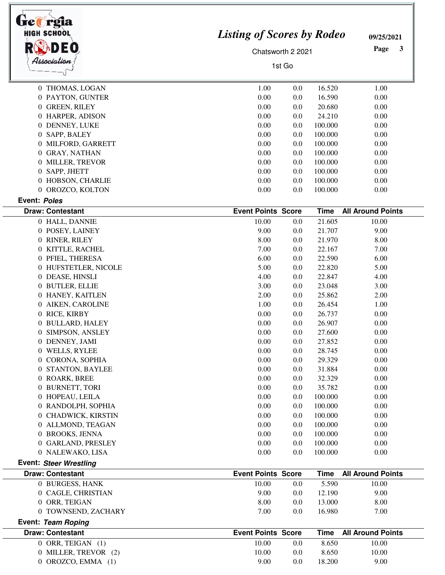| lre#rgia<br><b>HIGH SCHOOL</b>           | <b>Listing of Scores by Rodeo</b> | 09/25/2021        |             |                          |  |
|------------------------------------------|-----------------------------------|-------------------|-------------|--------------------------|--|
|                                          |                                   | Chatsworth 2 2021 |             | Page<br>3                |  |
| Association                              |                                   | 1st Go            |             |                          |  |
| 0 THOMAS, LOGAN                          | 1.00                              | 0.0               | 16.520      | 1.00                     |  |
| 0 PAYTON, GUNTER                         | 0.00                              | 0.0               | 16.590      | 0.00                     |  |
| 0 GREEN, RILEY                           | 0.00                              | 0.0               | 20.680      | 0.00                     |  |
| 0 HARPER, ADISON                         | 0.00                              | 0.0               | 24.210      | 0.00                     |  |
| 0 DENNEY, LUKE                           | 0.00                              | 0.0               | 100.000     | 0.00                     |  |
| 0 SAPP, BALEY                            | 0.00                              | 0.0               | 100.000     | 0.00                     |  |
| 0 MILFORD, GARRETT                       | 0.00                              | 0.0               | 100.000     | 0.00                     |  |
| 0 GRAY, NATHAN                           | 0.00                              | 0.0               | 100.000     | 0.00                     |  |
| 0 MILLER, TREVOR                         | 0.00                              | 0.0               | 100.000     | 0.00                     |  |
| 0 SAPP, JHETT                            | 0.00                              | 0.0               | 100.000     | 0.00                     |  |
| 0 HOBSON, CHARLIE                        | 0.00                              | 0.0               | 100.000     | 0.00                     |  |
| 0 OROZCO, KOLTON                         | 0.00                              | 0.0               | 100.000     | 0.00                     |  |
| Event: Poles<br><b>Draw: Contestant</b>  | <b>Event Points Score</b>         |                   | <b>Time</b> | <b>All Around Points</b> |  |
| 0 HALL, DANNIE                           | 10.00                             | 0.0               | 21.605      | 10.00                    |  |
| 0 POSEY, LAINEY                          | 9.00                              | 0.0               | 21.707      | 9.00                     |  |
| 0 RINER, RILEY                           | 8.00                              | 0.0               | 21.970      | 8.00                     |  |
| 0 KITTLE, RACHEL                         | 7.00                              | 0.0               | 22.167      | 7.00                     |  |
| 0 PFIEL, THERESA                         | 6.00                              | 0.0               | 22.590      | 6.00                     |  |
| 0 HUFSTETLER, NICOLE                     | 5.00                              | 0.0               | 22.820      | 5.00                     |  |
| 0 DEASE, HINSLI                          | 4.00                              | 0.0               | 22.847      | 4.00                     |  |
| 0 BUTLER, ELLIE                          | 3.00                              | 0.0               | 23.048      | 3.00                     |  |
| 0 HANEY, KAITLEN                         | 2.00                              | 0.0               | 25.862      | 2.00                     |  |
| 0 AIKEN, CAROLINE                        | 1.00                              | 0.0               | 26.454      | 1.00                     |  |
| 0 RICE, KIRBY                            | 0.00                              | 0.0               | 26.737      | 0.00                     |  |
| 0 BULLARD, HALEY                         | 0.00                              | 0.0               | 26.907      | 0.00                     |  |
| <b>SIMPSON, ANSLEY</b><br>$\overline{0}$ | 0.00                              | 0.0               | 27.600      | 0.00                     |  |
| 0 DENNEY, JAMI                           | 0.00                              | 0.0               | 27.852      | 0.00                     |  |
| 0 WELLS, RYLEE                           | 0.00                              | 0.0               | 28.745      | 0.00                     |  |
| 0 CORONA, SOPHIA                         | 0.00                              | 0.0               | 29.329      | 0.00                     |  |
| 0 STANTON, BAYLEE                        | 0.00                              | 0.0               | 31.884      | 0.00                     |  |
| 0 ROARK, BREE                            | 0.00                              | 0.0               | 32.329      | 0.00                     |  |
| 0 BURNETT, TORI                          | 0.00                              | 0.0               | 35.782      | 0.00                     |  |
| 0 HOPEAU, LEILA                          | 0.00                              | 0.0               | 100.000     | 0.00                     |  |
| 0 RANDOLPH, SOPHIA                       | 0.00                              | 0.0               | 100.000     | 0.00                     |  |
| 0 CHADWICK, KIRSTIN                      | 0.00                              | 0.0               | 100.000     | 0.00                     |  |
| 0 ALLMOND, TEAGAN                        | 0.00                              | 0.0               | 100.000     | 0.00                     |  |
| 0 BROOKS, JENNA                          | 0.00                              | 0.0               | 100.000     | 0.00                     |  |
| 0 GARLAND, PRESLEY                       | 0.00                              | 0.0               | 100.000     | 0.00                     |  |
| 0 NALEWAKO, LISA                         | 0.00                              | 0.0               | 100.000     | 0.00                     |  |
| <b>Event: Steer Wrestling</b>            |                                   |                   |             |                          |  |
| <b>Draw: Contestant</b>                  | <b>Event Points Score</b>         |                   | <b>Time</b> | <b>All Around Points</b> |  |
| 0 BURGESS, HANK                          | 10.00                             | 0.0               | 5.590       | 10.00                    |  |
| 0 CAGLE, CHRISTIAN                       | 9.00                              | 0.0               | 12.190      | 9.00                     |  |
| 0 ORR, TEIGAN                            | 8.00                              | 0.0               | 13.000      | 8.00                     |  |
| 0 TOWNSEND, ZACHARY                      | 7.00                              | 0.0               | 16.980      | 7.00                     |  |
| Event: Team Roping                       |                                   |                   |             |                          |  |
| <b>Draw: Contestant</b>                  | <b>Event Points Score</b>         |                   | <b>Time</b> | <b>All Around Points</b> |  |
| 0 ORR, TEIGAN (1)                        | 10.00                             | 0.0               | 8.650       | 10.00                    |  |
| 0 MILLER, TREVOR (2)                     | 10.00                             | 0.0               | 8.650       | 10.00                    |  |
| 0 OROZCO, EMMA (1)                       | 9.00                              | 0.0               | 18.200      | 9.00                     |  |